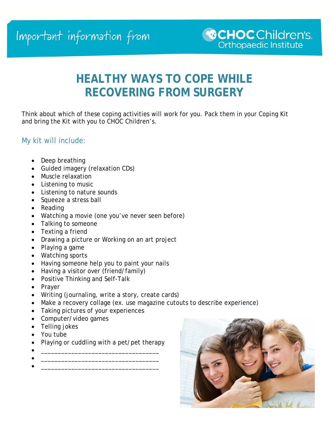## **HEALTHY WAYS TO COPE WHILE RECOVERING FROM SURGERY**

Think about which of these coping activities will work for you. Pack them in your Coping Kit and bring the Kit with you to CHOC Children's.

## My kit will include:

- Deep breathing
- Guided imagery (relaxation CDs)
- Muscle relaxation
- Listening to music
- Listening to nature sounds
- Squeeze a stress ball
- Reading
- Watching a movie (one you've never seen before)
- Talking to someone
- Texting a friend
- Drawing a picture or Working on an art project
- Playing a game
- Watching sports
- Having someone help you to paint your nails
- Having a visitor over (friend/family)
- Positive Thinking and Self-Talk
- Prayer
- Writing (journaling, write a story, create cards)
- Make a recovery collage (ex. use magazine cutouts to describe experience)
- Taking pictures of your experiences
- Computer/video games
- Telling jokes
- You tube
- Playing or cuddling with a pet/pet therapy
- $\bullet$   $\hspace{0.2cm}$   $\hspace{0.2cm}$   $\hspace{0.2cm}$   $\hspace{0.2cm}$   $\hspace{0.2cm}$   $\hspace{0.2cm}$   $\hspace{0.2cm}$   $\hspace{0.2cm}$   $\hspace{0.2cm}$   $\hspace{0.2cm}$   $\hspace{0.2cm}$   $\hspace{0.2cm}$   $\hspace{0.2cm}$   $\hspace{0.2cm}$   $\hspace{0.2cm}$   $\hspace{0.2cm}$   $\hspace{0.2cm}$   $\hspace{0.2cm}$   $\bullet$   $\hspace{0.2cm}$   $\hspace{0.2cm}$   $\hspace{0.2cm}$   $\hspace{0.2cm}$   $\hspace{0.2cm}$   $\hspace{0.2cm}$   $\hspace{0.2cm}$   $\hspace{0.2cm}$   $\hspace{0.2cm}$   $\hspace{0.2cm}$   $\hspace{0.2cm}$   $\hspace{0.2cm}$   $\hspace{0.2cm}$   $\hspace{0.2cm}$   $\hspace{0.2cm}$   $\hspace{0.2cm}$   $\hspace{0.2cm}$   $\hspace{0.2cm}$
- \_\_\_\_\_\_\_\_\_\_\_\_\_\_\_\_\_\_\_\_\_\_\_\_\_\_\_\_\_\_\_\_\_\_\_

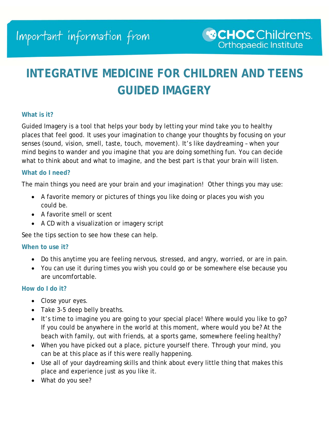## **INTEGRATIVE MEDICINE FOR CHILDREN AND TEENS GUIDED IMAGERY**

#### **What is it?**

Guided Imagery is a tool that helps your body by letting your mind take you to healthy places that feel good. It uses your imagination to change your thoughts by focusing on your senses (sound, vision, smell, taste, touch, movement). It's like daydreaming – when your mind begins to wander and you imagine that you are doing something fun. You can decide what to think about and what to imagine, and the best part is that your brain will listen.

#### **What do I need?**

The main things you need are your brain and your imagination! Other things you may use:

- A favorite memory or pictures of things you like doing or places you wish you could be.
- A favorite smell or scent
- A CD with a visualization or imagery script

See the tips section to see how these can help.

#### **When to use it?**

- Do this anytime you are feeling nervous, stressed, and angry, worried, or are in pain.
- You can use it during times you wish you could go or be somewhere else because you are uncomfortable.

#### **How do I do it?**

- Close your eyes.
- Take 3-5 deep belly breaths.
- It's time to imagine you are going to your special place! Where would you like to go? If you could be anywhere in the world at this moment, where would you be? At the beach with family, out with friends, at a sports game, somewhere feeling healthy?
- When you have picked out a place, picture yourself there. Through your mind, you can be at this place as if this were really happening.
- Use all of your daydreaming skills and think about every little thing that makes this place and experience just as you like it.
- What do you see?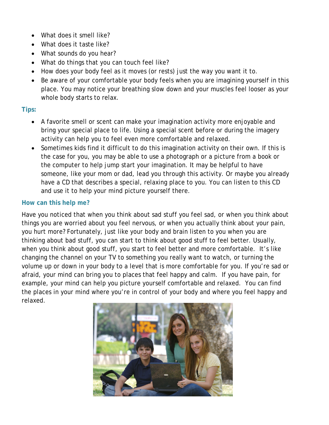- What does it smell like?
- What does it taste like?
- What sounds do you hear?
- What do things that you can touch feel like?
- How does your body feel as it moves (or rests) just the way you want it to.
- Be aware of your comfortable your body feels when you are imagining yourself in this place. You may notice your breathing slow down and your muscles feel looser as your whole body starts to relax.

## **Tips:**

- A favorite smell or scent can make your imagination activity more enjoyable and bring your special place to life. Using a special scent before or during the imagery activity can help you to feel even more comfortable and relaxed.
- Sometimes kids find it difficult to do this imagination activity on their own. If this is the case for you, you may be able to use a photograph or a picture from a book or the computer to help jump start your imagination. It may be helpful to have someone, like your mom or dad, lead you through this activity. Or maybe you already have a CD that describes a special, relaxing place to you. You can listen to this CD and use it to help your mind picture yourself there.

## **How can this help me?**

Have you noticed that when you think about sad stuff you feel sad, or when you think about things you are worried about you feel nervous, or when you actually think about your pain, you hurt more? Fortunately, just like your body and brain listen to you when you are thinking about bad stuff, you can start to think about good stuff to feel better. Usually, when you think about good stuff, you start to feel better and more comfortable. It's like changing the channel on your TV to something you really want to watch, or turning the volume up or down in your body to a level that is more comfortable for you. If you're sad or afraid, your mind can bring you to places that feel happy and calm. If you have pain, for example, your mind can help you picture yourself comfortable and relaxed. You can find the places in your mind where you're in control of your body and where you feel happy and relaxed.

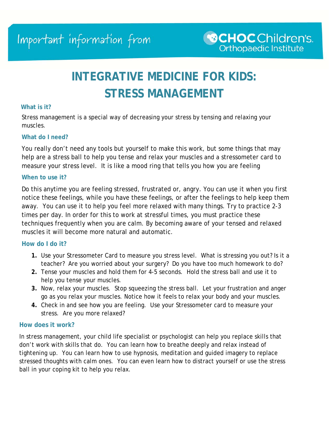# **INTEGRATIVE MEDICINE FOR KIDS: STRESS MANAGEMENT**

#### **What is it?**

Stress management is a special way of decreasing your stress by tensing and relaxing your muscles.

#### **What do I need?**

You really don't need any tools but yourself to make this work, but some things that may help are a stress ball to help you tense and relax your muscles and a stressometer card to measure your stress level. It is like a mood ring that tells you how you are feeling

#### **When to use it?**

Do this anytime you are feeling stressed, frustrated or, angry*.* You can use it when you first notice these feelings, while you have these feelings, or after the feelings to help keep them away. You can use it to help you feel more relaxed with many things. Try to practice 2-3 times per day. In order for this to work at stressful times, you must practice these techniques frequently when you are calm. By becoming aware of your tensed and relaxed muscles it will become more natural and automatic.

#### **How do I do it?**

- **1.** Use your Stressometer Card to measure you stress level. What is stressing you out? Is it a teacher? Are you worried about your surgery? Do you have too much homework to do?
- **2.** Tense your muscles and hold them for 4-5 seconds. Hold the stress ball and use it to help you tense your muscles.
- **3.** Now, relax your muscles. Stop squeezing the stress ball. Let your frustration and anger go as you relax your muscles. Notice how it feels to relax your body and your muscles.
- **4.** Check in and see how you are feeling. Use your Stressometer card to measure your stress. Are you more relaxed?

#### **How does it work?**

In stress management, your child life specialist or psychologist can help you replace skills that don't work with skills that do. You can learn how to breathe deeply and relax instead of tightening up. You can learn how to use hypnosis, meditation and guided imagery to replace stressed thoughts with calm ones. You can even learn how to distract yourself or use the stress ball in your coping kit to help you relax.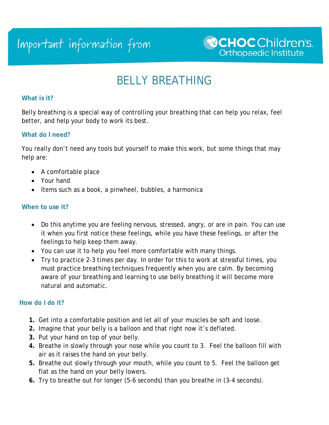# Important information from

## BELLY BREATHING

#### **What is it?**

Belly breathing is a special way of controlling your breathing that can help you relax, feel better, and help your body to work its best.

### **What do I need?**

You really don't need any tools but yourself to make this work, but some things that may help are:

- A comfortable place
- Your hand
- Items such as a book, a pinwheel, bubbles, a harmonica

### **When to use it?**

- Do this anytime you are feeling nervous, stressed, angry, or are in pain. You can use it when you first notice these feelings, while you have these feelings, or after the feelings to help keep them away.
- You can use it to help you feel more comfortable with many things.
- Try to practice 2-3 times per day. In order for this to work at stressful times, you must practice breathing techniques frequently when you are calm. By becoming aware of your breathing and learning to use belly breathing it will become more natural and automatic.

#### **How do I do it?**

- **1.** Get into a comfortable position and let all of your muscles be soft and loose.
- **2.** Imagine that your belly is a balloon and that right now it's deflated.
- **3.** Put your hand on top of your belly.
- **4.** Breathe in slowly through your nose while you count to 3. Feel the balloon fill with air as it raises the hand on your belly.
- **5.** Breathe out slowly through your mouth, while you count to 5. Feel the balloon get flat as the hand on your belly lowers.
- **6.** Try to breathe out for longer (5-6 seconds) than you breathe in (3-4 seconds).